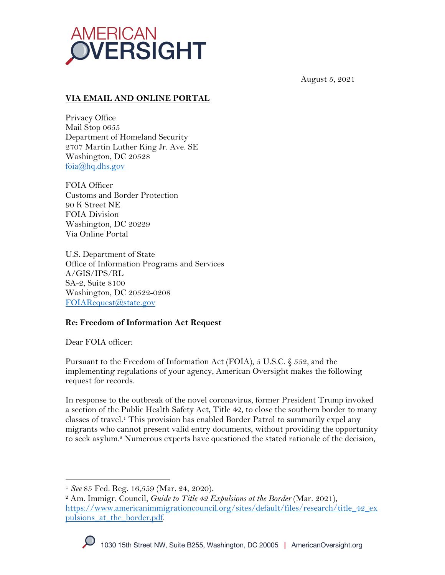

August 5, 2021

# **VIA EMAIL AND ONLINE PORTAL**

Privacy Office Mail Stop 0655 Department of Homeland Security 2707 Martin Luther King Jr. Ave. SE Washington, DC 20528  $f$ oia $@$ hq.dhs.gov

FOIA Officer Customs and Border Protection 90 K Street NE FOIA Division Washington, DC 20229 Via Online Portal

U.S. Department of State Office of Information Programs and Services A/GIS/IPS/RL SA-2, Suite 8100 Washington, DC 20522-0208 FOIARequest@state.gov

#### **Re: Freedom of Information Act Request**

Dear FOIA officer:

Pursuant to the Freedom of Information Act (FOIA), 5 U.S.C. § 552, and the implementing regulations of your agency, American Oversight makes the following request for records.

In response to the outbreak of the novel coronavirus, former President Trump invoked a section of the Public Health Safety Act, Title 42, to close the southern border to many classes of travel.1 This provision has enabled Border Patrol to summarily expel any migrants who cannot present valid entry documents, without providing the opportunity to seek asylum.<sup>2</sup> Numerous experts have questioned the stated rationale of the decision,

<sup>1</sup> *See* 85 Fed. Reg. 16,559 (Mar. 24, 2020). 2 Am. Immigr. Council, *Guide to Title 42 Expulsions at the Border* (Mar. 2021), https://www.americanimmigrationcouncil.org/sites/default/files/research/title\_42\_ex pulsions\_at\_the\_border.pdf.

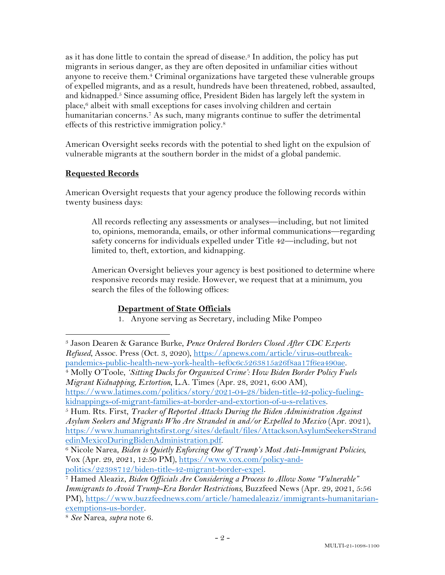as it has done little to contain the spread of disease.3 In addition, the policy has put migrants in serious danger, as they are often deposited in unfamiliar cities without anyone to receive them.4 Criminal organizations have targeted these vulnerable groups of expelled migrants, and as a result, hundreds have been threatened, robbed, assaulted, and kidnapped.<sup>5</sup> Since assuming office, President Biden has largely left the system in place, $6$  albeit with small exceptions for cases involving children and certain humanitarian concerns.<sup>7</sup> As such, many migrants continue to suffer the detrimental effects of this restrictive immigration policy.8

American Oversight seeks records with the potential to shed light on the expulsion of vulnerable migrants at the southern border in the midst of a global pandemic.

## **Requested Records**

American Oversight requests that your agency produce the following records within twenty business days:

All records reflecting any assessments or analyses—including, but not limited to, opinions, memoranda, emails, or other informal communications—regarding safety concerns for individuals expelled under Title 42—including, but not limited to, theft, extortion, and kidnapping.

American Oversight believes your agency is best positioned to determine where responsive records may reside. However, we request that at a minimum, you search the files of the following offices:

## **Department of State Officials**

1. Anyone serving as Secretary, including Mike Pompeo

*Migrant Kidnapping, Extortion*, L.A. Times (Apr. 28, 2021, 6:00 AM),

<sup>3</sup> Jason Dearen & Garance Burke, *Pence Ordered Borders Closed After CDC Experts Refused*, Assoc. Press (Oct. 3, 2020), https://apnews.com/article/virus-outbreakpandemics-public-health-new-york-health-4ef0c6c5263815a26f8aa17f6ea490ae. 4 Molly O'Toole, *'Sitting Ducks for Organized Crime': How Biden Border Policy Fuels* 

https://www.latimes.com/politics/story/2021-04-28/biden-title-42-policy-fuelingkidnappings-of-migrant-families-at-border-and-extortion-of-u-s-relatives. 5 Hum. Rts. First, *Tracker of Reported Attacks During the Biden Administration Against* 

*Asylum Seekers and Migrants Who Are Stranded in and/or Expelled to Mexico* (Apr. 2021), https://www.humanrightsfirst.org/sites/default/files/AttacksonAsylumSeekersStrand

<sup>&</sup>lt;sup>6</sup> Nicole Narea, *Biden is Quietly Enforcing One of Trump's Most Anti-Immigrant Policies*, Vox (Apr. 29, 2021, 12:50 PM), https://www.vox.com/policy-and-

politics/22398712/biden-title-42-migrant-border-expel. 7 Hamed Aleaziz, *Biden Officials Are Considering a Process to Allow Some "Vulnerable" Immigrants to Avoid Trump-Era Border Restrictions*, Buzzfeed News (Apr. 29, 2021, 5:56 PM), https://www.buzzfeednews.com/article/hamedaleaziz/immigrants-humanitarianexemptions-us-border. 8 *See* Narea, *supra* note 6.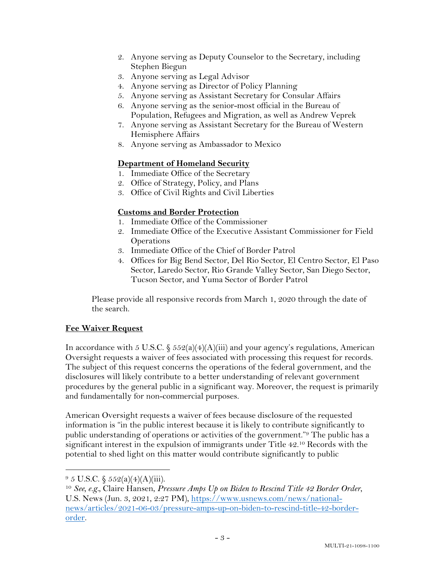- 2. Anyone serving as Deputy Counselor to the Secretary, including Stephen Biegun
- 3. Anyone serving as Legal Advisor
- 4. Anyone serving as Director of Policy Planning
- 5. Anyone serving as Assistant Secretary for Consular Affairs
- 6. Anyone serving as the senior-most official in the Bureau of Population, Refugees and Migration, as well as Andrew Veprek
- 7. Anyone serving as Assistant Secretary for the Bureau of Western Hemisphere Affairs
- 8. Anyone serving as Ambassador to Mexico

### **Department of Homeland Security**

- 1. Immediate Office of the Secretary
- 2. Office of Strategy, Policy, and Plans
- 3. Office of Civil Rights and Civil Liberties

## **Customs and Border Protection**

- 1. Immediate Office of the Commissioner
- 2. Immediate Office of the Executive Assistant Commissioner for Field **Operations**
- 3. Immediate Office of the Chief of Border Patrol
- 4. Offices for Big Bend Sector, Del Rio Sector, El Centro Sector, El Paso Sector, Laredo Sector, Rio Grande Valley Sector, San Diego Sector, Tucson Sector, and Yuma Sector of Border Patrol

Please provide all responsive records from March 1, 2020 through the date of the search.

## **Fee Waiver Request**

In accordance with 5 U.S.C.  $\frac{552(a)(4)(A)(iii)}{3}$  and your agency's regulations, American Oversight requests a waiver of fees associated with processing this request for records. The subject of this request concerns the operations of the federal government, and the disclosures will likely contribute to a better understanding of relevant government procedures by the general public in a significant way. Moreover, the request is primarily and fundamentally for non-commercial purposes.

American Oversight requests a waiver of fees because disclosure of the requested information is "in the public interest because it is likely to contribute significantly to public understanding of operations or activities of the government."9 The public has a significant interest in the expulsion of immigrants under Title 42. <sup>10</sup> Records with the potential to shed light on this matter would contribute significantly to public

 $9\,5$  U.S.C.  $\frac{552(a)(4)(A)(iii)}{3}$ .

<sup>10</sup> *See, e.g.,* Claire Hansen, *Pressure Amps Up on Biden to Rescind Title 42 Border Order*, U.S. News (Jun. 3, 2021, 2:27 PM), https://www.usnews.com/news/nationalnews/articles/2021-06-03/pressure-amps-up-on-biden-to-rescind-title-42-borderorder.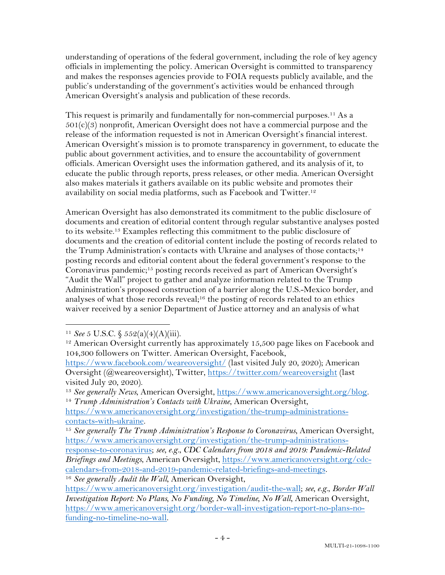understanding of operations of the federal government, including the role of key agency officials in implementing the policy. American Oversight is committed to transparency and makes the responses agencies provide to FOIA requests publicly available, and the public's understanding of the government's activities would be enhanced through American Oversight's analysis and publication of these records.

This request is primarily and fundamentally for non-commercial purposes.11 As a  $501(c)(3)$  nonprofit, American Oversight does not have a commercial purpose and the release of the information requested is not in American Oversight's financial interest. American Oversight's mission is to promote transparency in government, to educate the public about government activities, and to ensure the accountability of government officials. American Oversight uses the information gathered, and its analysis of it, to educate the public through reports, press releases, or other media. American Oversight also makes materials it gathers available on its public website and promotes their availability on social media platforms, such as Facebook and Twitter.12

American Oversight has also demonstrated its commitment to the public disclosure of documents and creation of editorial content through regular substantive analyses posted to its website.13 Examples reflecting this commitment to the public disclosure of documents and the creation of editorial content include the posting of records related to the Trump Administration's contacts with Ukraine and analyses of those contacts;<sup>14</sup> posting records and editorial content about the federal government's response to the Coronavirus pandemic;15 posting records received as part of American Oversight's "Audit the Wall" project to gather and analyze information related to the Trump Administration's proposed construction of a barrier along the U.S.-Mexico border, and analyses of what those records reveal;<sup>16</sup> the posting of records related to an ethics waiver received by a senior Department of Justice attorney and an analysis of what

<sup>11</sup> *See* 5 U.S.C. § 552(a)(4)(A)(iii).

<sup>&</sup>lt;sup>12</sup> American Oversight currently has approximately 15,500 page likes on Facebook and 104,300 followers on Twitter. American Oversight, Facebook,

https://www.facebook.com/weareoversight/ (last visited July 20, 2020); American Oversight (@weareoversight), Twitter, https://twitter.com/weareoversight (last visited July 20, 2020).

<sup>13</sup> *See generally News*, American Oversight, https://www.americanoversight.org/blog. 14 *Trump Administration's Contacts with Ukraine*, American Oversight,

https://www.americanoversight.org/investigation/the-trump-administrationscontacts-with-ukraine.

<sup>15</sup> *See generally The Trump Administration's Response to Coronavirus*, American Oversight, https://www.americanoversight.org/investigation/the-trump-administrations-

response-to-coronavirus; *see, e.g.*, *CDC Calendars from 2018 and 2019: Pandemic-Related Briefings and Meetings*, American Oversight, https://www.americanoversight.org/cdccalendars-from-2018-and-2019-pandemic-related-briefings-and-meetings.

<sup>16</sup> *See generally Audit the Wall*, American Oversight,

https://www.americanoversight.org/investigation/audit-the-wall; *see, e.g.*, *Border Wall Investigation Report: No Plans, No Funding, No Timeline, No Wall*, American Oversight, https://www.americanoversight.org/border-wall-investigation-report-no-plans-nofunding-no-timeline-no-wall.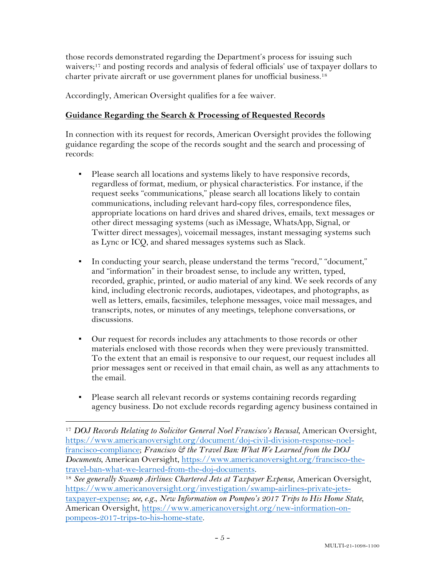those records demonstrated regarding the Department's process for issuing such waivers;<sup>17</sup> and posting records and analysis of federal officials' use of taxpayer dollars to charter private aircraft or use government planes for unofficial business. 18

Accordingly, American Oversight qualifies for a fee waiver.

### **Guidance Regarding the Search & Processing of Requested Records**

In connection with its request for records, American Oversight provides the following guidance regarding the scope of the records sought and the search and processing of records:

- Please search all locations and systems likely to have responsive records, regardless of format, medium, or physical characteristics. For instance, if the request seeks "communications," please search all locations likely to contain communications, including relevant hard-copy files, correspondence files, appropriate locations on hard drives and shared drives, emails, text messages or other direct messaging systems (such as iMessage, WhatsApp, Signal, or Twitter direct messages), voicemail messages, instant messaging systems such as Lync or ICQ, and shared messages systems such as Slack.
- In conducting your search, please understand the terms "record," "document," and "information" in their broadest sense, to include any written, typed, recorded, graphic, printed, or audio material of any kind. We seek records of any kind, including electronic records, audiotapes, videotapes, and photographs, as well as letters, emails, facsimiles, telephone messages, voice mail messages, and transcripts, notes, or minutes of any meetings, telephone conversations, or discussions.
- Our request for records includes any attachments to those records or other materials enclosed with those records when they were previously transmitted. To the extent that an email is responsive to our request, our request includes all prior messages sent or received in that email chain, as well as any attachments to the email.
- Please search all relevant records or systems containing records regarding agency business. Do not exclude records regarding agency business contained in

<sup>17</sup> *DOJ Records Relating to Solicitor General Noel Francisco's Recusal*, American Oversight, https://www.americanoversight.org/document/doj-civil-division-response-noelfrancisco-compliance; *Francisco & the Travel Ban: What We Learned from the DOJ Documents*, American Oversight, https://www.americanoversight.org/francisco-thetravel-ban-what-we-learned-from-the-doj-documents.

<sup>&</sup>lt;sup>18</sup> *See generally Swamp Airlines: Chartered Jets at Taxpayer Expense*, American Oversight, https://www.americanoversight.org/investigation/swamp-airlines-private-jetstaxpayer-expense; *see, e.g.*, *New Information on Pompeo's 2017 Trips to His Home State*, American Oversight, https://www.americanoversight.org/new-information-onpompeos-2017-trips-to-his-home-state.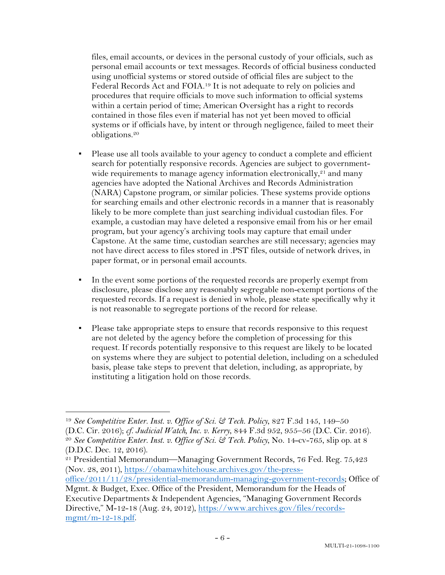files, email accounts, or devices in the personal custody of your officials, such as personal email accounts or text messages. Records of official business conducted using unofficial systems or stored outside of official files are subject to the Federal Records Act and FOIA.19 It is not adequate to rely on policies and procedures that require officials to move such information to official systems within a certain period of time; American Oversight has a right to records contained in those files even if material has not yet been moved to official systems or if officials have, by intent or through negligence, failed to meet their obligations.20

- Please use all tools available to your agency to conduct a complete and efficient search for potentially responsive records. Agencies are subject to governmentwide requirements to manage agency information electronically, $21$  and many agencies have adopted the National Archives and Records Administration (NARA) Capstone program, or similar policies. These systems provide options for searching emails and other electronic records in a manner that is reasonably likely to be more complete than just searching individual custodian files. For example, a custodian may have deleted a responsive email from his or her email program, but your agency's archiving tools may capture that email under Capstone. At the same time, custodian searches are still necessary; agencies may not have direct access to files stored in .PST files, outside of network drives, in paper format, or in personal email accounts.
- In the event some portions of the requested records are properly exempt from disclosure, please disclose any reasonably segregable non-exempt portions of the requested records. If a request is denied in whole, please state specifically why it is not reasonable to segregate portions of the record for release.
- Please take appropriate steps to ensure that records responsive to this request are not deleted by the agency before the completion of processing for this request. If records potentially responsive to this request are likely to be located on systems where they are subject to potential deletion, including on a scheduled basis, please take steps to prevent that deletion, including, as appropriate, by instituting a litigation hold on those records.

<sup>19</sup> *See Competitive Enter. Inst. v. Office of Sci. & Tech. Policy*, 827 F.3d 145, 149–50 (D.C. Cir. 2016); *cf. Judicial Watch, Inc. v. Kerry*, 844 F.3d 952, 955–56 (D.C. Cir. 2016). 20 *See Competitive Enter. Inst. v. Office of Sci. & Tech. Policy*, No. 14-cv-765, slip op. at 8

<sup>(</sup>D.D.C. Dec. 12, 2016).

<sup>21</sup> Presidential Memorandum—Managing Government Records, 76 Fed. Reg. 75,423 (Nov. 28, 2011), https://obamawhitehouse.archives.gov/the-press-

office/2011/11/28/presidential-memorandum-managing-government-records; Office of Mgmt. & Budget, Exec. Office of the President, Memorandum for the Heads of

Executive Departments & Independent Agencies, "Managing Government Records Directive," M-12-18 (Aug. 24, 2012), https://www.archives.gov/files/recordsmgmt/m-12-18.pdf.